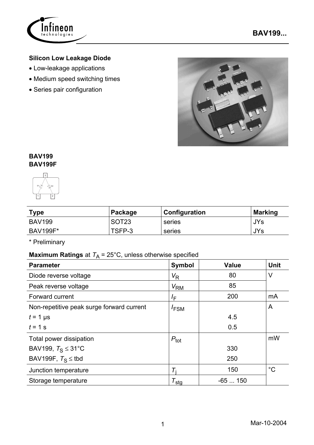

## **Silicon Low Leakage Diode**

- Low-leakage applications
- Medium speed switching times
- Series pair configuration



### **BAV199 BAV199F**



| <b>Type</b>     | Package           | <b>Configuration</b> | <b>Marking</b> |
|-----------------|-------------------|----------------------|----------------|
| <b>BAV199</b>   | SOT <sub>23</sub> | series               | l JYs          |
| <b>BAV199F*</b> | TSFP-3            | series               | JYs            |

\* Preliminary

# **Maximum Ratings** at  $T_A = 25^{\circ}$ C, unless otherwise specified

| <b>Parameter</b>                          | Symbol              | Value    | <b>Unit</b> |
|-------------------------------------------|---------------------|----------|-------------|
| Diode reverse voltage                     | $V_{\mathsf{R}}$    | 80       | $\vee$      |
| Peak reverse voltage                      | V <sub>RM</sub>     | 85       |             |
| Forward current                           | $I_{\mathsf{F}}$    | 200      | mA          |
| Non-repetitive peak surge forward current | $I_{FSM}$           |          | A           |
| $t = 1$ µs                                |                     | 4.5      |             |
| $t = 1$ s                                 |                     | 0.5      |             |
| Total power dissipation                   | $P_{\text{tot}}$    |          | mW          |
| BAV199, $T_S \leq 31^{\circ}$ C           |                     | 330      |             |
| BAV199F, $T_S \leq$ tbd                   |                     | 250      |             |
| Junction temperature                      |                     | 150      | $^{\circ}C$ |
| Storage temperature                       | $\tau_{\text{stg}}$ | $-65150$ |             |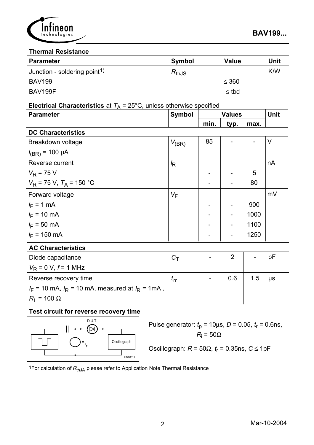

#### **Thermal Resistance**

| <b>Parameter</b>                         | <b>Symbol</b> | <b>Value</b> | <b>Unit</b> |
|------------------------------------------|---------------|--------------|-------------|
| Junction - soldering point <sup>1)</sup> | $R_{thJS}$    |              | K/W         |
| <b>BAV199</b>                            |               | $\leq 360$   |             |
| BAV199F                                  |               | $\leq$ tbd   |             |

# **Electrical Characteristics** at  $T_A = 25^{\circ}$ C, unless otherwise specified

| <b>Parameter</b>             | <b>Symbol</b>  | <b>Values</b> |                          | Unit |        |
|------------------------------|----------------|---------------|--------------------------|------|--------|
|                              |                | min.          | typ.                     | max. |        |
| <b>DC Characteristics</b>    |                |               |                          |      |        |
| Breakdown voltage            | $V_{\rm (BR)}$ | 85            |                          |      | $\vee$ |
| $I_{(BR)}$ = 100 µA          |                |               |                          |      |        |
| Reverse current              | $\sqrt{R}$     |               |                          |      | nA     |
| $V_R$ = 75 V                 |                |               |                          | 5    |        |
| $V_R$ = 75 V, $T_A$ = 150 °C |                |               | $\overline{\phantom{0}}$ | 80   |        |
| Forward voltage              | $V_F$          |               |                          |      | mV     |
| $I_F = 1$ mA                 |                |               |                          | 900  |        |
| $I_F = 10 \text{ mA}$        |                |               | $\blacksquare$           | 1000 |        |
| $I_F = 50$ mA                |                |               | $\blacksquare$           | 1100 |        |
| $I_F$ = 150 mA               |                |               |                          | 1250 |        |
|                              |                |               |                          |      |        |

#### **AC Characteristics**

| Diode capacitance                                      |  | 2   |     | рF      |
|--------------------------------------------------------|--|-----|-----|---------|
| $V_{\rm R}$ = 0 V, f = 1 MHz                           |  |     |     |         |
| Reverse recovery time                                  |  | 0.6 | 1.5 | $\mu s$ |
| $I_F$ = 10 mA, $I_R$ = 10 mA, measured at $I_R$ = 1mA, |  |     |     |         |
| $R_1 = 100 \Omega$                                     |  |     |     |         |

### **Test circuit for reverse recovery time**



| Pulse generator: $t_0 = 10 \mu s$ , $D = 0.05$ , $t_r = 0.6$ ns, |                  |  |  |
|------------------------------------------------------------------|------------------|--|--|
|                                                                  | $R_i = 50\Omega$ |  |  |

Oscillograph: 
$$
R = 50\Omega
$$
,  $t_r = 0.35$ ns,  $C \le 1pF$ 

<sup>1</sup>For calculation of R<sub>thJA</sub> please refer to Application Note Thermal Resistance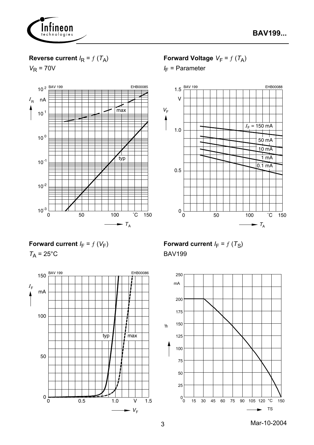

## **Reverse current**  $I_R = f(T_A)$

 $V_R$  = 70V



**Forward Voltage**  $V_F = f(T_A)$ 

*I* F = Parameter



**Forward current**  $I_F = f(V_F)$ 

 $T_A$  = 25 $^{\circ}$ C



**Forward current**  $I_F = f(T_S)$ BAV199